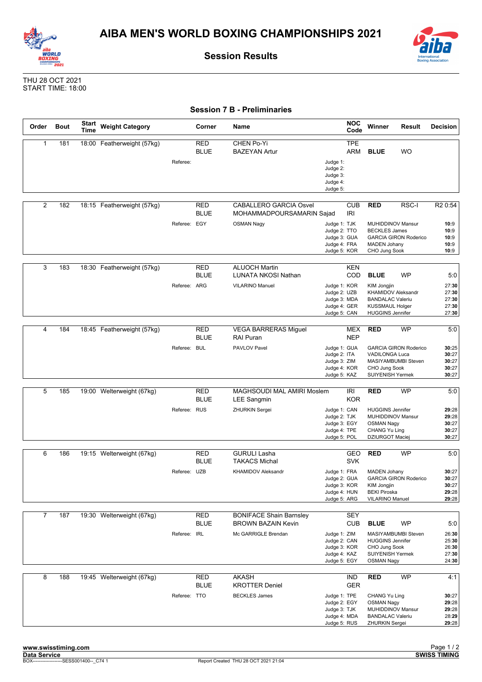



**Session Results**

THU 28 OCT 2021 START TIME: 18:00

|  |  |  |  | <b>Session 7 B - Preliminaries</b> |
|--|--|--|--|------------------------------------|
|--|--|--|--|------------------------------------|

| Order          | <b>Bout</b> | Start<br>Time | <b>Weight Category</b>     |              | Corner                    | Name                                                                               |                                                                                     | <b>NOC</b><br>Code       | Winner                                                                                                                                  | <b>Result</b>                                                    | <b>Decision</b>                                             |
|----------------|-------------|---------------|----------------------------|--------------|---------------------------|------------------------------------------------------------------------------------|-------------------------------------------------------------------------------------|--------------------------|-----------------------------------------------------------------------------------------------------------------------------------------|------------------------------------------------------------------|-------------------------------------------------------------|
| $\mathbf{1}$   | 181         |               | 18:00 Featherweight (57kg) | Referee:     | RED<br><b>BLUE</b>        | <b>CHEN Po-Yi</b><br><b>BAZEYAN Artur</b>                                          | Judge 1:<br>Judge 2:<br>Judge 3:<br>Judge 4:<br>Judge 5:                            | TPE<br><b>ARM</b>        | <b>BLUE</b>                                                                                                                             | <b>WO</b>                                                        |                                                             |
| 2              | 182         |               | 18:15 Featherweight (57kg) | Referee: EGY | RED<br><b>BLUE</b>        | <b>CABALLERO GARCIA Osvel</b><br>MOHAMMADPOURSAMARIN Sajad<br><b>OSMAN Nagy</b>    | IRI<br>Judge 1: TJK<br>Judge 2: TTO<br>Judge 3: GUA<br>Judge 4: FRA<br>Judge 5: KOR | <b>CUB</b>               | <b>RED</b><br>MUHIDDINOV Mansur<br><b>BECKLES James</b><br><b>MADEN Johany</b><br>CHO Jung Sook                                         | RSC-I<br><b>GARCIA GIRON Roderico</b>                            | R <sub>2</sub> 0:54<br>10:9<br>10:9<br>10:9<br>10:9<br>10:9 |
| 3              | 183         |               | 18:30 Featherweight (57kg) | Referee: ARG | RED<br><b>BLUE</b>        | <b>ALUOCH Martin</b><br>LUNATA NKOSI Nathan<br>VILARINO Manuel                     | Judge 1: KOR<br>Judge 2: UZB<br>Judge 3: MDA<br>Judge 4: GER<br>Judge 5: CAN        | <b>KEN</b><br>COD        | <b>BLUE</b><br><b>KIM Jongjin</b><br>KHAMIDOV Aleksandr<br><b>BANDALAC Valeriu</b><br><b>KUSSMAUL Holger</b><br><b>HUGGINS Jennifer</b> | <b>WP</b>                                                        | 5:0<br>27:30<br>27:30<br>27:30<br>27:30<br>27:30            |
| 4              | 184         |               | 18:45 Featherweight (57kg) | Referee: BUL | RED<br><b>BLUE</b>        | <b>VEGA BARRERAS Miguel</b><br><b>RAI Puran</b><br>PAVLOV Pavel                    | Judge 1: GUA<br>Judge 2: ITA<br>Judge 3: ZIM<br>Judge 4: KOR<br>Judge 5: KAZ        | MEX<br><b>NEP</b>        | <b>RED</b><br>VADILONGA Luca<br>CHO Jung Sook<br><b>SUIYENISH Yermek</b>                                                                | <b>WP</b><br><b>GARCIA GIRON Roderico</b><br>MASIYAMBUMBI Steven | 5:0<br>30:25<br>30:27<br>30:27<br>30:27<br>30:27            |
| 5              | 185         |               | 19:00 Welterweight (67kg)  | Referee: RUS | <b>RED</b><br><b>BLUE</b> | MAGHSOUDI MAL AMIRI Moslem<br><b>LEE Sangmin</b><br><b>ZHURKIN Sergei</b>          | Judge 1: CAN<br>Judge 2: TJK<br>Judge 3: EGY<br>Judge 4: TPE<br>Judge 5: POL        | IRI<br><b>KOR</b>        | <b>RED</b><br><b>HUGGINS Jennifer</b><br>MUHIDDINOV Mansur<br><b>OSMAN Nagy</b><br>CHANG Yu Ling<br><b>DZIURGOT Maciej</b>              | <b>WP</b>                                                        | 5:0<br>29:28<br>29:28<br>30:27<br>30:27<br>30:27            |
| 6              | 186         |               | 19:15 Welterweight (67kg)  | Referee: UZB | RED<br><b>BLUE</b>        | <b>GURULI Lasha</b><br><b>TAKACS Michal</b><br>KHAMIDOV Aleksandr                  | Judge 1: FRA<br>Judge 2: GUA<br>Judge 3: KOR<br>Judge 4: HUN<br>Judge 5: ARG        | <b>GEO</b><br><b>SVK</b> | <b>RED</b><br><b>MADEN Johany</b><br>KIM Jongjin<br><b>BEKI Piroska</b><br><b>VILARINO Manuel</b>                                       | WP<br><b>GARCIA GIRON Roderico</b>                               | 5:0<br>30:27<br>30:27<br>30:27<br>29:28<br>29:28            |
| $\overline{7}$ | 187         |               | 19:30 Welterweight (67kg)  | Referee: IRL | <b>RED</b><br><b>BLUE</b> | <b>BONIFACE Shain Barnsley</b><br><b>BROWN BAZAIN Kevin</b><br>Mc GARRIGLE Brendan | Judge 1: ZIM<br>Judge 2: CAN<br>Judge 3: KOR<br>Judge 4: KAZ<br>Judge 5: EGY        | <b>SEY</b><br><b>CUB</b> | <b>BLUE</b><br><b>HUGGINS Jennifer</b><br>CHO Jung Sook<br>SUIYENISH Yermek<br><b>OSMAN Nagy</b>                                        | <b>WP</b><br>MASIYAMBUMBI Steven                                 | 5:0<br>26:30<br>25:30<br>26:30<br>27:30<br>24:30            |
| 8              | 188         |               | 19:45 Welterweight (67kg)  | Referee: TTO | <b>RED</b><br><b>BLUE</b> | <b>AKASH</b><br><b>KROTTER Deniel</b><br><b>BECKLES James</b>                      | Judge 1: TPE<br>Judge 2: EGY<br>Judge 3: TJK<br>Judge 4: MDA<br>Judge 5: RUS        | <b>IND</b><br><b>GER</b> | <b>RED</b><br>CHANG Yu Ling<br><b>OSMAN Nagy</b><br>MUHIDDINOV Mansur<br><b>BANDALAC Valeriu</b><br><b>ZHURKIN Sergei</b>               | WP                                                               | 4:1  <br>30:27<br>29:28<br>29:28<br>28:29<br>29:28          |